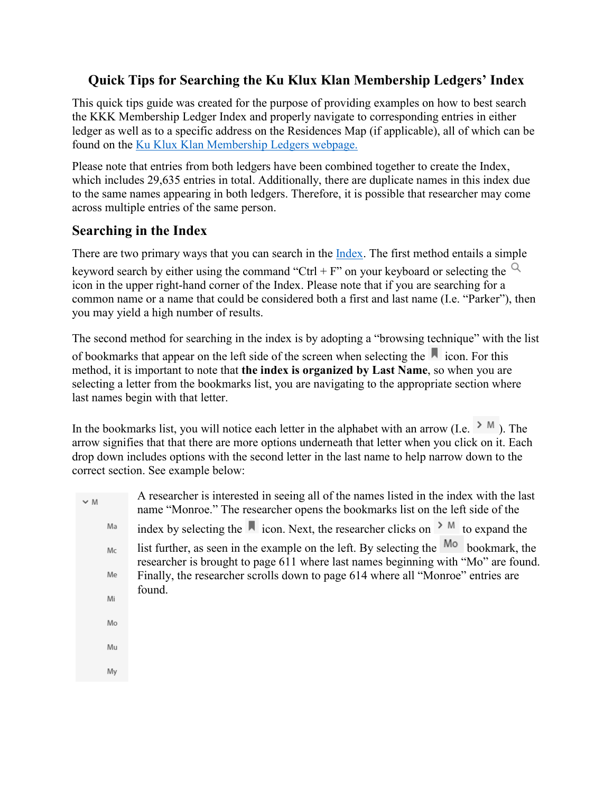# **Quick Tips for Searching the Ku Klux Klan Membership Ledgers' Index**

This quick tips guide was created for the purpose of providing examples on how to best search the KKK Membership Ledger Index and properly navigate to corresponding entries in either ledger as well as to a specific address on the Residences Map (if applicable), all of which can be found on the [Ku Klux Klan Membership Ledgers webpage.](https://www.historycolorado.org/kkkledgers)

Please note that entries from both ledgers have been combined together to create the Index, which includes 29,635 entries in total. Additionally, there are duplicate names in this index due to the same names appearing in both ledgers. Therefore, it is possible that researcher may come across multiple entries of the same person.

# **Searching in the Index**

There are two primary ways that you can search in the [Index.](https://documentcloud.adobe.com/link/track?uri=urn%3Aaaid%3Ascds%3AUS%3A6a4bc206-86b5-4a99-a442-45790caa9dd2#pageNum=559) The first method entails a simple

keyword search by either using the command "Ctrl + F" on your keyboard or selecting the  $\alpha$ icon in the upper right-hand corner of the Index. Please note that if you are searching for a common name or a name that could be considered both a first and last name (I.e. "Parker"), then you may yield a high number of results.

The second method for searching in the index is by adopting a "browsing technique" with the list

of bookmarks that appear on the left side of the screen when selecting the  $\blacksquare$  icon. For this method, it is important to note that **the index is organized by Last Name**, so when you are selecting a letter from the bookmarks list, you are navigating to the appropriate section where last names begin with that letter.

In the bookmarks list, you will notice each letter in the alphabet with an arrow (I.e.  $\geq M$ ). The arrow signifies that that there are more options underneath that letter when you click on it. Each drop down includes options with the second letter in the last name to help narrow down to the correct section. See example below:

| $~\vee~ M$ | A researcher is interested in seeing all of the names listed in the index with the last<br>name "Monroe." The researcher opens the bookmarks list on the left side of the |
|------------|---------------------------------------------------------------------------------------------------------------------------------------------------------------------------|
| Ma         | index by selecting the $\blacksquare$ icon. Next, the researcher clicks on $\gt M$ to expand the                                                                          |
| Mc         | list further, as seen in the example on the left. By selecting the Mo bookmark, the<br>researcher is brought to page 611 where last names beginning with "Mo" are found.  |
| Me         | Finally, the researcher scrolls down to page 614 where all "Monroe" entries are                                                                                           |
| Mi         | found.                                                                                                                                                                    |
| Mo         |                                                                                                                                                                           |
| Mu         |                                                                                                                                                                           |
| My         |                                                                                                                                                                           |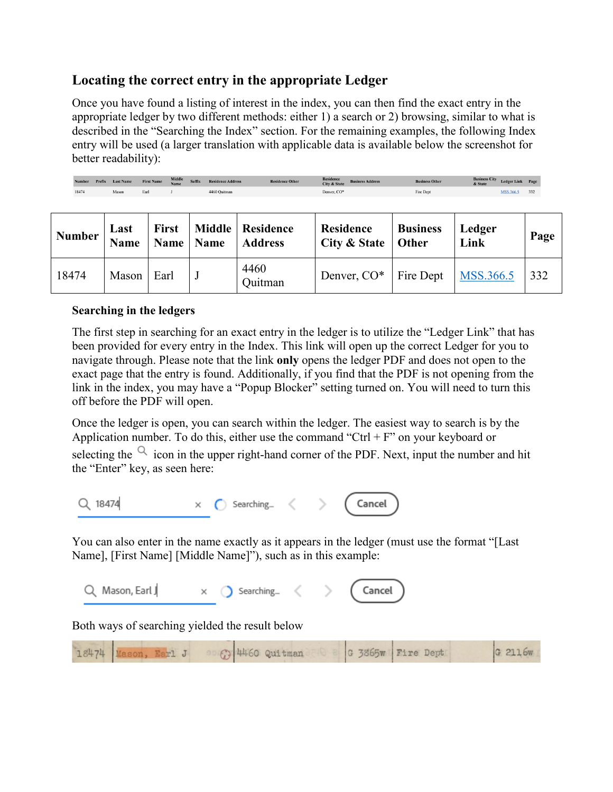## **Locating the correct entry in the appropriate Ledger**

Once you have found a listing of interest in the index, you can then find the exact entry in the appropriate ledger by two different methods: either 1) a search or 2) browsing, similar to what is described in the "Searching the Index" section. For the remaining examples, the following Index entry will be used (a larger translation with applicable data is available below the screenshot for better readability):

Residence<br>City & State Number Prefix Last Name  $Suffix$ **First Name** 18474 Mason Earl 4460 Ouitman Denver, CO\* Fire Dept MSS.366.5 332  $J$ 

| <b>Number</b> | Last<br><b>Name</b> | <b>First</b><br>Name | Name | Middle   Residence<br><b>Address</b> | Residence<br>City & State   Other | <b>Business</b> | Ledger<br>Link | Page |
|---------------|---------------------|----------------------|------|--------------------------------------|-----------------------------------|-----------------|----------------|------|
| 18474         | Mason               | Earl                 |      | 4460<br>Quitman                      | Denver, $CO^*$   Fire Dept        |                 | MSS.366.5      | 332  |

### **Searching in the ledgers**

The first step in searching for an exact entry in the ledger is to utilize the "Ledger Link" that has been provided for every entry in the Index. This link will open up the correct Ledger for you to navigate through. Please note that the link **only** opens the ledger PDF and does not open to the exact page that the entry is found. Additionally, if you find that the PDF is not opening from the link in the index, you may have a "Popup Blocker" setting turned on. You will need to turn this off before the PDF will open.

Once the ledger is open, you can search within the ledger. The easiest way to search is by the Application number. To do this, either use the command "Ctrl  $+ F$ " on your keyboard or selecting the  $\alpha$  icon in the upper right-hand corner of the PDF. Next, input the number and hit the "Enter" key, as seen here:



You can also enter in the name exactly as it appears in the ledger (must use the format "[Last Name], [First Name] [Middle Name]"), such as in this example:

| Q Mason, Earl J |  |  | Searching |  |  | (Cancel) |  |
|-----------------|--|--|-----------|--|--|----------|--|
|-----------------|--|--|-----------|--|--|----------|--|

Both ways of searching yielded the result below

|  | 18474 Mason, Earl J |  | <b>C</b> 4460 Quitman |  | G 3865w Fire Dept | G 2116w |
|--|---------------------|--|-----------------------|--|-------------------|---------|
|--|---------------------|--|-----------------------|--|-------------------|---------|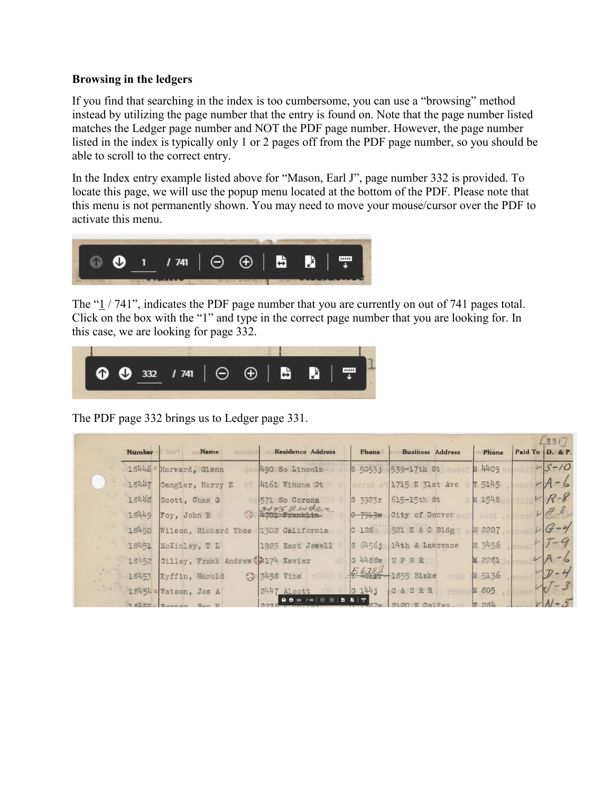#### **Browsing in the ledgers**

If you find that searching in the index is too cumbersome, you can use a "browsing" method instead by utilizing the page number that the entry is found on. Note that the page number listed matches the Ledger page number and NOT the PDF page number. However, the page number listed in the index is typically only 1 or 2 pages off from the PDF page number, so you should be able to scroll to the correct entry.

In the Index entry example listed above for "Mason, Earl J", page number 332 is provided. To locate this page, we will use the popup menu located at the bottom of the PDF. Please note that this menu is not permanently shown. You may need to move your mouse/cursor over the PDF to activate this menu.



The "1/741", indicates the PDF page number that you are currently on out of 741 pages total. Click on the box with the "1" and type in the correct page number that you are looking for. In this case, we are looking for page 332.



The PDF page 332 brings us to Ledger page 331.

|  |               |                                    |            |                                  |                                               |                  |                         |        | 23317           |
|--|---------------|------------------------------------|------------|----------------------------------|-----------------------------------------------|------------------|-------------------------|--------|-----------------|
|  | <b>Number</b> | <b>Name</b>                        | assanbA    |                                  | <b>Residence Address</b>                      | Phone            | <b>Business Address</b> | Phone  | Paid To D. & P. |
|  |               | 18446 SHarward, Glenn              |            | 490 So Lincoln                   |                                               | S 50531          | 539-17th St             | M 4409 | $45 - 10$       |
|  | 18447         | Gangler, Harry E                   |            | 4161 Winona Ot                   |                                               | evit0            | 1715 E 31st Ave         | Y 5145 | $A - 6$         |
|  | 18448         | Scott, Chas G                      |            | 571 So Corona                    |                                               | S 3923r          | 615-15th St             | M 1548 | $R - 8$         |
|  | 18449         | Foy, John B                        | $\epsilon$ | 3415 W 34 Bave<br>$H/01$ Fanklin |                                               | 0.7913m          | City of Denver          | herT   | $H_{s}$         |
|  | 18450         | Wilson, Richard Thos               |            | 1302 California                  |                                               | C <sub>128</sub> | 521 E & C Bldg          | M 2207 | $G - 4$         |
|  | 18451         | McKinley, T L                      |            | 1923 East Jewell                 |                                               | S 64561          | 114th & Lawrence        | M 3456 | $1 - 9$         |
|  | 18452         | Gilley, Frank Andrew C04174 Xavier |            |                                  |                                               | $G$ 4488W        | UPRR                    | M 2281 |                 |
|  | 18453         | Kyffin, Harold                     |            | <b>3</b> 3438 Vine               |                                               |                  | $642 - 1855$ Blake      | M 5136 | $D - 4$         |
|  |               | 18454 s Watson, Jos A              |            | 2447 Alcott                      |                                               | $G_144j$         | C & S R R               | M 805  |                 |
|  |               | Jaller Donnon Don H                |            | 027                              | <b>O ⊙</b> 332 / 741   ⊝ ⊕   <b>B</b>   B   F | $\sigma$ $7\pi$  | $2120$ F Colfer         | 冊 28Ⅱ  | $V$ $N-5$       |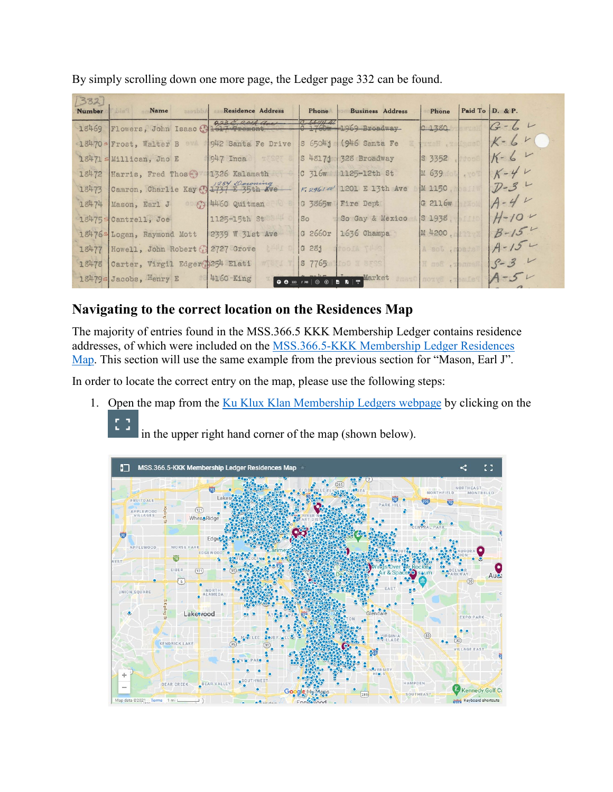| 1332<br><b>Number</b> | Name                       | asaubbA                 | <b>Residence Address</b>             |       | Phone                                                      | <b>Business Address</b>                 | Phone             | Paid To $D.$ & P. |
|-----------------------|----------------------------|-------------------------|--------------------------------------|-------|------------------------------------------------------------|-----------------------------------------|-------------------|-------------------|
| 18469                 |                            | Flowers, John Isaac     | 232,204                              |       |                                                            | $C$ 66/4 $4$<br>$C$ 1760w 1969 Broadway | 0.1380            | $G - G$           |
|                       | 18470s Frost, Walter B 974 |                         | 942 Santa Fe Drive                   |       | S 6504j                                                    | (946 Santa Fe                           | TIGH . TE         | $K - G$           |
|                       | 18471 s Millican, Jno E    |                         | $947$ Inca                           | TESCT | S48171                                                     | 328 Broadway                            | $ S\ 3352\rangle$ | $K - 64$          |
| 18472                 | Harris, Fred Those         |                         | 11326 Kalamath                       |       | $C$ 316 $w$                                                | 1125-12th St                            | M 639             | $K-4V$            |
| 18473                 |                            | Camron, Charlie Kay (?) | 1254 Coroning<br>1737 E 35th Ave     |       | F.296141                                                   | 1201 E 13th Ave                         | M 1150            | $D-3$             |
| 18474                 | Mason, Earl J              |                         | $\circ$ $\odot$ $\odot$ 4460 Quitman |       | G 3865w                                                    | Fire Dept                               | G 2116w           | $A - 4V$          |
|                       | 18475s Cantrell, Joe       |                         | 1125-15th St                         |       | SO                                                         | So Gay & Mexico                         | S1938             | $H - 10V$         |
|                       | 18476s Logan, Raymond Mott |                         | 2339 W 31st Ave                      |       | G 2660r                                                    | 1636 Champa                             | M 4200            | $B - 15$          |
| 18477                 |                            |                         | Howell, John Robert (3 2727 Grove    | 北平工   | G281                                                       | 2447 Alcot                              | A aot .mpads      | $A - 152$         |
| 18478                 |                            |                         | Carter, Virgil Edger 254 Elati       | WOCL  | $S$ 7765                                                   | Po0 X 8FSS                              | lenner, Ben H     | $5 - 3$           |
|                       | 18479s Jacobs, Henry E     |                         | 4160 King                            |       | 00 33 7 741   $\odot$ 0   <b>b</b>   <b>b</b>   $\uparrow$ | Market                                  | Palmer, Byron     | $A - 5V$          |

By simply scrolling down one more page, the Ledger page 332 can be found.

# **Navigating to the correct location on the Residences Map**

The majority of entries found in the MSS.366.5 KKK Membership Ledger contains residence addresses, of which were included on the [MSS.366.5-KKK Membership Ledger Residences](https://www.google.com/maps/d/viewer?mid=1Pyfnddh9OB0Ip5KKltGkgPXnFvDlve5s&ll=39.733797984744356%2C-104.97844069144334&z=13)  [Map.](https://www.google.com/maps/d/viewer?mid=1Pyfnddh9OB0Ip5KKltGkgPXnFvDlve5s&ll=39.733797984744356%2C-104.97844069144334&z=13) This section will use the same example from the previous section for "Mason, Earl J".

In order to locate the correct entry on the map, please use the following steps:

1. Open the map from the [Ku Klux Klan Membership Ledgers webpage](https://www.historycolorado.org/kkkledgers) by clicking on the 83

in the upper right hand corner of the map (shown below).

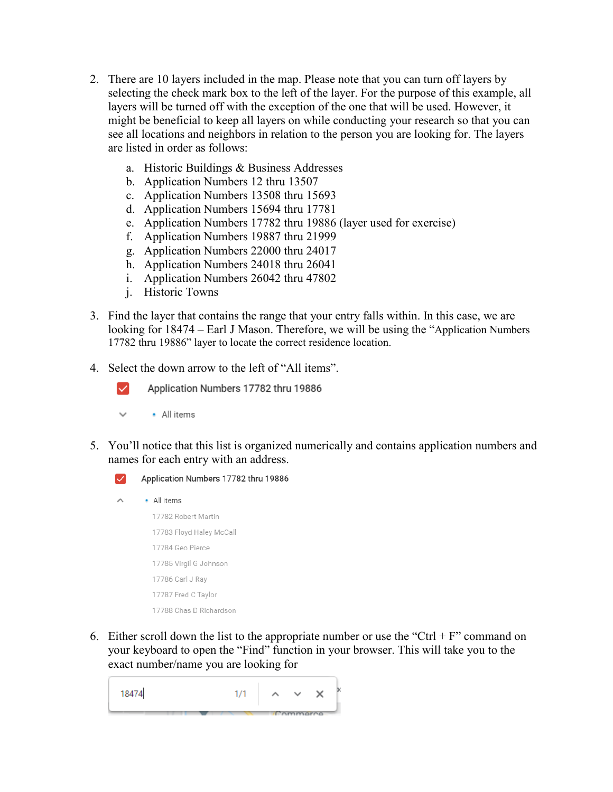- 2. There are 10 layers included in the map. Please note that you can turn off layers by selecting the check mark box to the left of the layer. For the purpose of this example, all layers will be turned off with the exception of the one that will be used. However, it might be beneficial to keep all layers on while conducting your research so that you can see all locations and neighbors in relation to the person you are looking for. The layers are listed in order as follows:
	- a. Historic Buildings & Business Addresses
	- b. Application Numbers 12 thru 13507
	- c. Application Numbers 13508 thru 15693
	- d. Application Numbers 15694 thru 17781
	- e. Application Numbers 17782 thru 19886 (layer used for exercise)
	- f. Application Numbers 19887 thru 21999
	- g. Application Numbers 22000 thru 24017
	- h. Application Numbers 24018 thru 26041
	- i. Application Numbers 26042 thru 47802
	- j. Historic Towns
- 3. Find the layer that contains the range that your entry falls within. In this case, we are looking for 18474 – Earl J Mason. Therefore, we will be using the "Application Numbers 17782 thru 19886" layer to locate the correct residence location.
- 4. Select the down arrow to the left of "All items".
	- Application Numbers 17782 thru 19886
	- All items  $\overline{\phantom{a}}$

 $\backsim$ 

5. You'll notice that this list is organized numerically and contains application numbers and names for each entry with an address.



- 17783 Floyd Haley McCall 17784 Geo Pierce 17785 Virgil G Johnson 17786 Carl J Ray 17787 Fred C Taylor 17788 Chas D Richardson
- 6. Either scroll down the list to the appropriate number or use the "Ctrl + F" command on your keyboard to open the "Find" function in your browser. This will take you to the exact number/name you are looking for